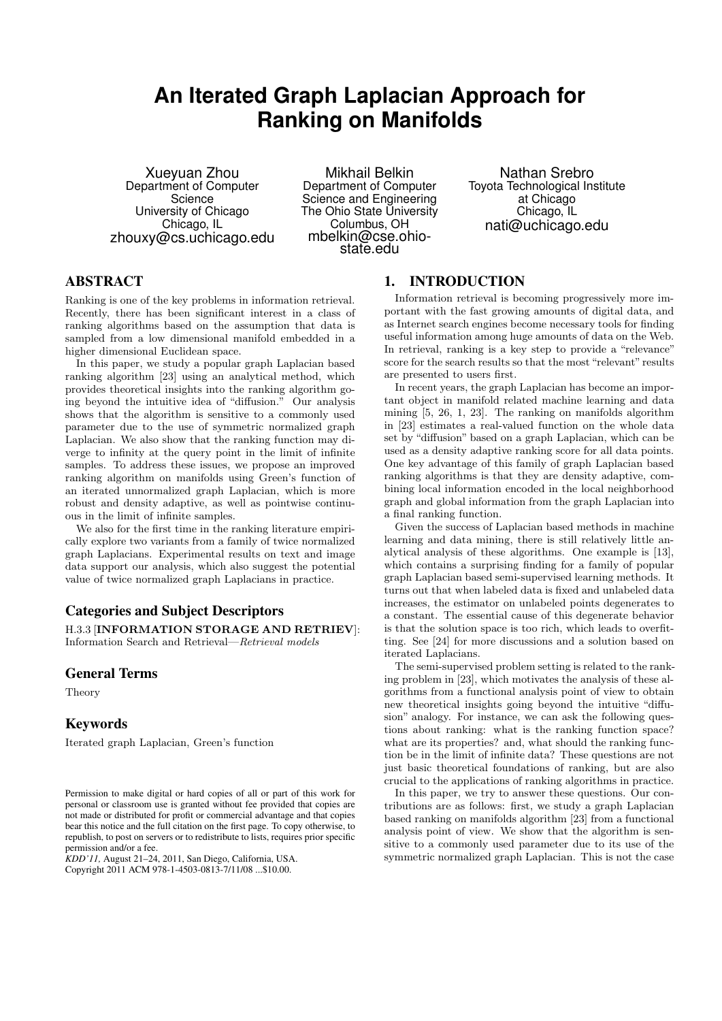# **An Iterated Graph Laplacian Approach for Ranking on Manifolds**

Xueyuan Zhou Department of Computer **Science** University of Chicago Chicago, IL zhouxy@cs.uchicago.edu

Mikhail Belkin Department of Computer Science and Engineering The Ohio State University Columbus, OH mbelkin@cse.ohiostate.edu

Nathan Srebro Toyota Technological Institute at Chicago Chicago, IL nati@uchicago.edu

# ABSTRACT

Ranking is one of the key problems in information retrieval. Recently, there has been significant interest in a class of ranking algorithms based on the assumption that data is sampled from a low dimensional manifold embedded in a higher dimensional Euclidean space.

In this paper, we study a popular graph Laplacian based ranking algorithm [23] using an analytical method, which provides theoretical insights into the ranking algorithm going beyond the intuitive idea of "diffusion." Our analysis shows that the algorithm is sensitive to a commonly used parameter due to the use of symmetric normalized graph Laplacian. We also show that the ranking function may diverge to infinity at the query point in the limit of infinite samples. To address these issues, we propose an improved ranking algorithm on manifolds using Green's function of an iterated unnormalized graph Laplacian, which is more robust and density adaptive, as well as pointwise continuous in the limit of infinite samples.

We also for the first time in the ranking literature empirically explore two variants from a family of twice normalized graph Laplacians. Experimental results on text and image data support our analysis, which also suggest the potential value of twice normalized graph Laplacians in practice.

# Categories and Subject Descriptors

H.3.3 [INFORMATION STORAGE AND RETRIEV]: Information Search and Retrieval—Retrieval models

# General Terms

Theory

#### Keywords

Iterated graph Laplacian, Green's function

*KDD'11,* August 21–24, 2011, San Diego, California, USA. Copyright 2011 ACM 978-1-4503-0813-7/11/08 ...\$10.00.

#### 1. INTRODUCTION

Information retrieval is becoming progressively more important with the fast growing amounts of digital data, and as Internet search engines become necessary tools for finding useful information among huge amounts of data on the Web. In retrieval, ranking is a key step to provide a "relevance" score for the search results so that the most "relevant" results are presented to users first.

In recent years, the graph Laplacian has become an important object in manifold related machine learning and data mining [5, 26, 1, 23]. The ranking on manifolds algorithm in [23] estimates a real-valued function on the whole data set by "diffusion" based on a graph Laplacian, which can be used as a density adaptive ranking score for all data points. One key advantage of this family of graph Laplacian based ranking algorithms is that they are density adaptive, combining local information encoded in the local neighborhood graph and global information from the graph Laplacian into a final ranking function.

Given the success of Laplacian based methods in machine learning and data mining, there is still relatively little analytical analysis of these algorithms. One example is [13], which contains a surprising finding for a family of popular graph Laplacian based semi-supervised learning methods. It turns out that when labeled data is fixed and unlabeled data increases, the estimator on unlabeled points degenerates to a constant. The essential cause of this degenerate behavior is that the solution space is too rich, which leads to overfitting. See [24] for more discussions and a solution based on iterated Laplacians.

The semi-supervised problem setting is related to the ranking problem in [23], which motivates the analysis of these algorithms from a functional analysis point of view to obtain new theoretical insights going beyond the intuitive "diffusion" analogy. For instance, we can ask the following questions about ranking: what is the ranking function space? what are its properties? and, what should the ranking function be in the limit of infinite data? These questions are not just basic theoretical foundations of ranking, but are also crucial to the applications of ranking algorithms in practice.

In this paper, we try to answer these questions. Our contributions are as follows: first, we study a graph Laplacian based ranking on manifolds algorithm [23] from a functional analysis point of view. We show that the algorithm is sensitive to a commonly used parameter due to its use of the symmetric normalized graph Laplacian. This is not the case

Permission to make digital or hard copies of all or part of this work for personal or classroom use is granted without fee provided that copies are not made or distributed for profit or commercial advantage and that copies bear this notice and the full citation on the first page. To copy otherwise, to republish, to post on servers or to redistribute to lists, requires prior specific permission and/or a fee.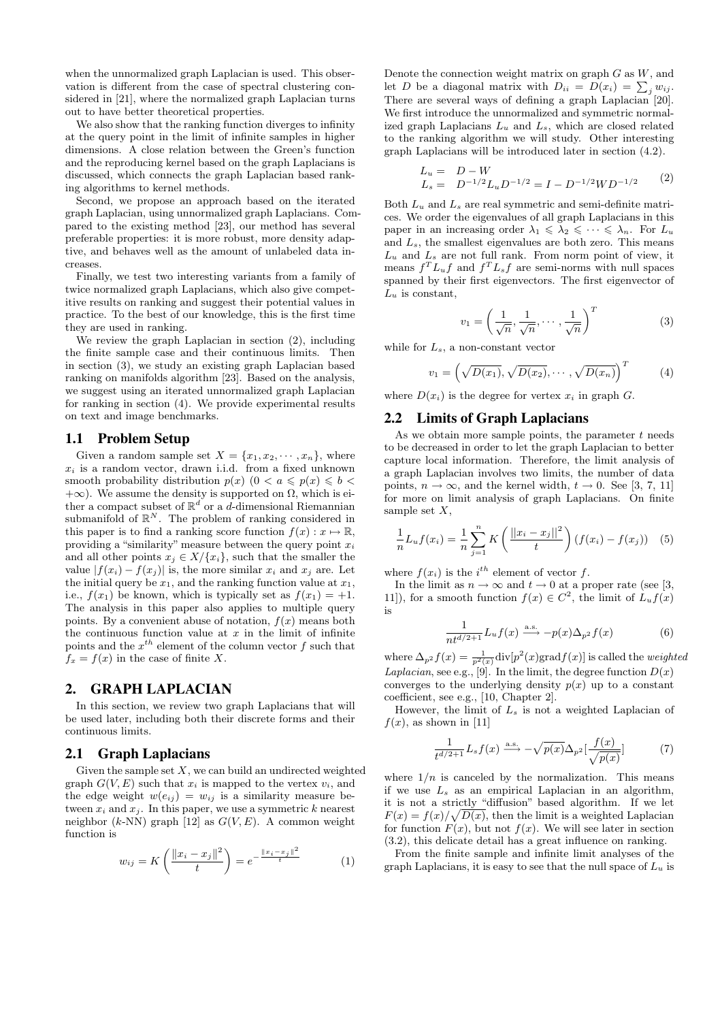when the unnormalized graph Laplacian is used. This observation is different from the case of spectral clustering considered in [21], where the normalized graph Laplacian turns out to have better theoretical properties.

We also show that the ranking function diverges to infinity at the query point in the limit of infinite samples in higher dimensions. A close relation between the Green's function and the reproducing kernel based on the graph Laplacians is discussed, which connects the graph Laplacian based ranking algorithms to kernel methods.

Second, we propose an approach based on the iterated graph Laplacian, using unnormalized graph Laplacians. Compared to the existing method [23], our method has several preferable properties: it is more robust, more density adaptive, and behaves well as the amount of unlabeled data increases.

Finally, we test two interesting variants from a family of twice normalized graph Laplacians, which also give competitive results on ranking and suggest their potential values in practice. To the best of our knowledge, this is the first time they are used in ranking.

We review the graph Laplacian in section  $(2)$ , including the finite sample case and their continuous limits. Then in section (3), we study an existing graph Laplacian based ranking on manifolds algorithm [23]. Based on the analysis, we suggest using an iterated unnormalized graph Laplacian for ranking in section (4). We provide experimental results on text and image benchmarks.

## 1.1 Problem Setup

Given a random sample set  $X = \{x_1, x_2, \dots, x_n\}$ , where  $x_i$  is a random vector, drawn i.i.d. from a fixed unknown smooth probability distribution  $p(x)$   $(0 < a \leqslant p(x) \leqslant b <$  $+\infty$ ). We assume the density is supported on  $\Omega$ , which is either a compact subset of  $\mathbb{R}^d$  or a d-dimensional Riemannian submanifold of  $\mathbb{R}^N$ . The problem of ranking considered in this paper is to find a ranking score function  $f(x) : x \mapsto \mathbb{R}$ , providing a "similarity" measure between the query point  $x_i$ and all other points  $x_i \in X/\{x_i\}$ , such that the smaller the value  $|f(x_i) - f(x_j)|$  is, the more similar  $x_i$  and  $x_j$  are. Let the initial query be  $x_1$ , and the ranking function value at  $x_1$ , i.e.,  $f(x_1)$  be known, which is typically set as  $f(x_1) = +1$ . The analysis in this paper also applies to multiple query points. By a convenient abuse of notation,  $f(x)$  means both the continuous function value at  $x$  in the limit of infinite points and the  $x^{th}$  element of the column vector f such that  $f_x = f(x)$  in the case of finite X.

## 2. GRAPH LAPLACIAN

In this section, we review two graph Laplacians that will be used later, including both their discrete forms and their continuous limits.

#### 2.1 Graph Laplacians

Given the sample set  $X$ , we can build an undirected weighted graph  $G(V, E)$  such that  $x_i$  is mapped to the vertex  $v_i$ , and the edge weight  $w(e_{ij}) = w_{ij}$  is a similarity measure between  $x_i$  and  $x_j$ . In this paper, we use a symmetric k nearest neighbor (k-NN) graph [12] as  $G(V, E)$ . A common weight function is

$$
w_{ij} = K\left(\frac{\|x_i - x_j\|^2}{t}\right) = e^{-\frac{\|x_i - x_j\|^2}{t}} \tag{1}
$$

Denote the connection weight matrix on graph  $G$  as  $W$ , and Denote the connection weight matrix on graph G as  $W$ , and<br>let D be a diagonal matrix with  $D_{ii} = D(x_i) = \sum_j w_{ij}$ . There are several ways of defining a graph Laplacian [20]. We first introduce the unnormalized and symmetric normalized graph Laplacians  $L_u$  and  $L_s$ , which are closed related to the ranking algorithm we will study. Other interesting graph Laplacians will be introduced later in section (4.2).

$$
L_u = D - W
$$
  
\n
$$
L_s = D^{-1/2} L_u D^{-1/2} = I - D^{-1/2} W D^{-1/2}
$$
\n(2)

Both  $L_u$  and  $L_s$  are real symmetric and semi-definite matrices. We order the eigenvalues of all graph Laplacians in this paper in an increasing order  $\lambda_1 \leq \lambda_2 \leq \cdots \leq \lambda_n$ . For  $L_u$ and  $L_s$ , the smallest eigenvalues are both zero. This means  $L_u$  and  $L_s$  are not full rank. From norm point of view, it means  $f^T L_u f$  and  $f^T L_s f$  are semi-norms with null spaces spanned by their first eigenvectors. The first eigenvector of  $L_u$  is constant,

$$
v_1 = \left(\frac{1}{\sqrt{n}}, \frac{1}{\sqrt{n}}, \dots, \frac{1}{\sqrt{n}}\right)^T
$$
 (3)

while for  $L_s$ , a non-constant vector

$$
v_1 = \left(\sqrt{D(x_1)}, \sqrt{D(x_2)}, \cdots, \sqrt{D(x_n)}\right)^T
$$
 (4)

where  $D(x_i)$  is the degree for vertex  $x_i$  in graph G.

# 2.2 Limits of Graph Laplacians

As we obtain more sample points, the parameter  $t$  needs to be decreased in order to let the graph Laplacian to better capture local information. Therefore, the limit analysis of a graph Laplacian involves two limits, the number of data points,  $n \to \infty$ , and the kernel width,  $t \to 0$ . See [3, 7, 11] for more on limit analysis of graph Laplacians. On finite sample set  $X$ ,

$$
\frac{1}{n}L_u f(x_i) = \frac{1}{n} \sum_{j=1}^n K\left(\frac{||x_i - x_j||^2}{t}\right) (f(x_i) - f(x_j)) \quad (5)
$$

where  $f(x_i)$  is the  $i^{th}$  element of vector f.

In the limit as  $n \to \infty$  and  $t \to 0$  at a proper rate (see [3, 11]), for a smooth function  $f(x) \in C^2$ , the limit of  $L_u f(x)$ is

$$
\frac{1}{nt^{d/2+1}}L_u f(x) \xrightarrow{\text{a.s.}} -p(x)\Delta_{p^2} f(x) \tag{6}
$$

where  $\Delta_{p^2} f(x) = \frac{1}{p^2(x)} \text{div}[p^2(x) \text{grad} f(x)]$  is called the *weighted* Laplacian, see e.g., [9]. In the limit, the degree function  $D(x)$ converges to the underlying density  $p(x)$  up to a constant coefficient, see e.g., [10, Chapter 2].

However, the limit of  $L_s$  is not a weighted Laplacian of  $f(x)$ , as shown in [11]

$$
\frac{1}{t^{d/2+1}} L_s f(x) \xrightarrow{\text{a.s.}} -\sqrt{p(x)} \Delta_{p^2} \left[ \frac{f(x)}{\sqrt{p(x)}} \right] \tag{7}
$$

where  $1/n$  is canceled by the normalization. This means if we use  $L_s$  as an empirical Laplacian in an algorithm, it is not a strictly "diffusion" based algorithm. If we let  $F(x) = f(x)/\sqrt{D(x)}$ , then the limit is a weighted Laplacian for function  $F(x)$ , but not  $f(x)$ . We will see later in section (3.2), this delicate detail has a great influence on ranking.

From the finite sample and infinite limit analyses of the graph Laplacians, it is easy to see that the null space of  $L_u$  is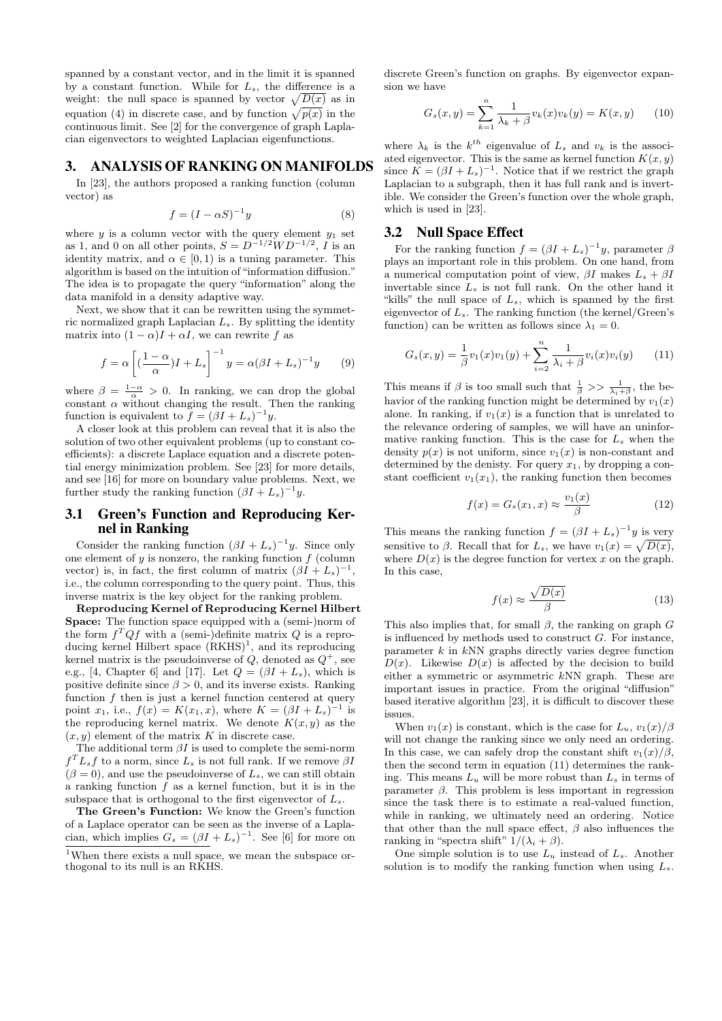spanned by a constant vector, and in the limit it is spanned by a constant function. While for  $L_s$ , the difference is a by a constant function. While for  $L_s$ , the difference is a weight: the null space is spanned by vector  $\sqrt{D(x)}$  as in weight: the nun space is spanned by vector  $\sqrt{D(x)}$  as in equation (4) in discrete case, and by function  $\sqrt{p(x)}$  in the continuous limit. See [2] for the convergence of graph Laplacian eigenvectors to weighted Laplacian eigenfunctions.

## 3. ANALYSIS OF RANKING ON MANIFOLDS

In [23], the authors proposed a ranking function (column vector) as

$$
f = (I - \alpha S)^{-1}y\tag{8}
$$

where  $y$  is a column vector with the query element  $y_1$  set as 1, and 0 on all other points,  $S = D^{-1/2}WD^{-1/2}$ , I is an identity matrix, and  $\alpha \in [0, 1)$  is a tuning parameter. This algorithm is based on the intuition of "information diffusion." The idea is to propagate the query "information" along the data manifold in a density adaptive way.

Next, we show that it can be rewritten using the symmetric normalized graph Laplacian  $L_s$ . By splitting the identity matrix into  $(1 - \alpha)I + \alpha I$ , we can rewrite f as

$$
f = \alpha \left[ \left( \frac{1 - \alpha}{\alpha} \right) I + L_s \right]^{-1} y = \alpha (\beta I + L_s)^{-1} y \tag{9}
$$

where  $\beta = \frac{1-\alpha}{\alpha} > 0$ . In ranking, we can drop the global constant  $\alpha$  without changing the result. Then the ranking function is equivalent to  $f = (\beta I + L_s)^{-1} y$ .

A closer look at this problem can reveal that it is also the solution of two other equivalent problems (up to constant coefficients): a discrete Laplace equation and a discrete potential energy minimization problem. See [23] for more details, and see [16] for more on boundary value problems. Next, we further study the ranking function  $(\beta I + L_s)^{-1}y$ .

# 3.1 Green's Function and Reproducing Kernel in Ranking

Consider the ranking function  $(\beta I + L_s)^{-1}y$ . Since only one element of  $y$  is nonzero, the ranking function  $f$  (column vector) is, in fact, the first column of matrix  $(\beta I + L_s)^{-1}$ , i.e., the column corresponding to the query point. Thus, this inverse matrix is the key object for the ranking problem.

Reproducing Kernel of Reproducing Kernel Hilbert Space: The function space equipped with a (semi-)norm of the form  $f^T Q f$  with a (semi-)definite matrix Q is a reproducing kernel Hilbert space  $(RKHS)^1$ , and its reproducing kernel matrix is the pseudoinverse of  $Q$ , denoted as  $Q^+$ , see e.g., [4, Chapter 6] and [17]. Let  $Q = (\beta I + L_s)$ , which is positive definite since  $\beta > 0$ , and its inverse exists. Ranking function  $f$  then is just a kernel function centered at query point  $x_1$ , i.e.,  $f(x) = K(x_1, x)$ , where  $K = (\beta I + L_s)^{-1}$  is the reproducing kernel matrix. We denote  $K(x, y)$  as the  $(x, y)$  element of the matrix K in discrete case.

The additional term  $\beta I$  is used to complete the semi-norm  $f^T L_s f$  to a norm, since  $L_s$  is not full rank. If we remove  $\beta I$  $(\beta = 0)$ , and use the pseudoinverse of  $L_s$ , we can still obtain a ranking function  $f$  as a kernel function, but it is in the subspace that is orthogonal to the first eigenvector of  $L_s$ .

The Green's Function: We know the Green's function of a Laplace operator can be seen as the inverse of a Laplacian, which implies  $G_s = (\beta I + L_s)^{-1}$ . See [6] for more on

discrete Green's function on graphs. By eigenvector expansion we have

$$
G_s(x, y) = \sum_{k=1}^{n} \frac{1}{\lambda_k + \beta} v_k(x) v_k(y) = K(x, y)
$$
 (10)

where  $\lambda_k$  is the  $k^{th}$  eigenvalue of  $L_s$  and  $v_k$  is the associated eigenvector. This is the same as kernel function  $K(x, y)$ since  $\overline{K} = (\beta I + L_s)^{-1}$ . Notice that if we restrict the graph Laplacian to a subgraph, then it has full rank and is invertible. We consider the Green's function over the whole graph, which is used in [23].

#### 3.2 Null Space Effect

For the ranking function  $f = (\beta I + L_s)^{-1}y$ , parameter  $\beta$ plays an important role in this problem. On one hand, from a numerical computation point of view,  $\beta I$  makes  $L_s + \beta I$ invertable since  $L_s$  is not full rank. On the other hand it "kills" the null space of  $L_s$ , which is spanned by the first eigenvector of  $L_s$ . The ranking function (the kernel/Green's function) can be written as follows since  $\lambda_1 = 0$ .

$$
G_s(x,y) = \frac{1}{\beta}v_1(x)v_1(y) + \sum_{i=2}^n \frac{1}{\lambda_i + \beta}v_i(x)v_i(y) \qquad (11)
$$

This means if  $\beta$  is too small such that  $\frac{1}{\beta} \gg \frac{1}{\lambda_i + \beta}$ , the behavior of the ranking function might be determined by  $v_1(x)$ alone. In ranking, if  $v_1(x)$  is a function that is unrelated to the relevance ordering of samples, we will have an uninformative ranking function. This is the case for  $L_s$  when the density  $p(x)$  is not uniform, since  $v_1(x)$  is non-constant and determined by the denisty. For query  $x_1$ , by dropping a constant coefficient  $v_1(x_1)$ , the ranking function then becomes

$$
f(x) = G_s(x_1, x) \approx \frac{v_1(x)}{\beta} \tag{12}
$$

This means the ranking function  $f = (\beta I + L_s)^{-1}y$  is very sensitive to  $\beta$ . Recall that for  $L_s$ , we have  $v_1(x) = \sqrt{D(x)}$ , where  $D(x)$  is the degree function for vertex x on the graph. In this case,

$$
f(x) \approx \frac{\sqrt{D(x)}}{\beta} \tag{13}
$$

This also implies that, for small  $\beta$ , the ranking on graph G is influenced by methods used to construct  $G$ . For instance, parameter  $k$  in  $kNN$  graphs directly varies degree function  $D(x)$ . Likewise  $D(x)$  is affected by the decision to build either a symmetric or asymmetric kNN graph. These are important issues in practice. From the original "diffusion" based iterative algorithm [23], it is difficult to discover these issues.

When  $v_1(x)$  is constant, which is the case for  $L_u$ ,  $v_1(x)/\beta$ will not change the ranking since we only need an ordering. In this case, we can safely drop the constant shift  $v_1(x)/\beta$ , then the second term in equation (11) determines the ranking. This means  $L<sub>u</sub>$  will be more robust than  $L<sub>s</sub>$  in terms of parameter  $\beta$ . This problem is less important in regression since the task there is to estimate a real-valued function, while in ranking, we ultimately need an ordering. Notice that other than the null space effect,  $\beta$  also influences the ranking in "spectra shift"  $1/(\lambda_i + \beta)$ .

One simple solution is to use  $L_u$  instead of  $L_s$ . Another solution is to modify the ranking function when using  $L_s$ .

<sup>&</sup>lt;sup>1</sup>When there exists a null space, we mean the subspace orthogonal to its null is an RKHS.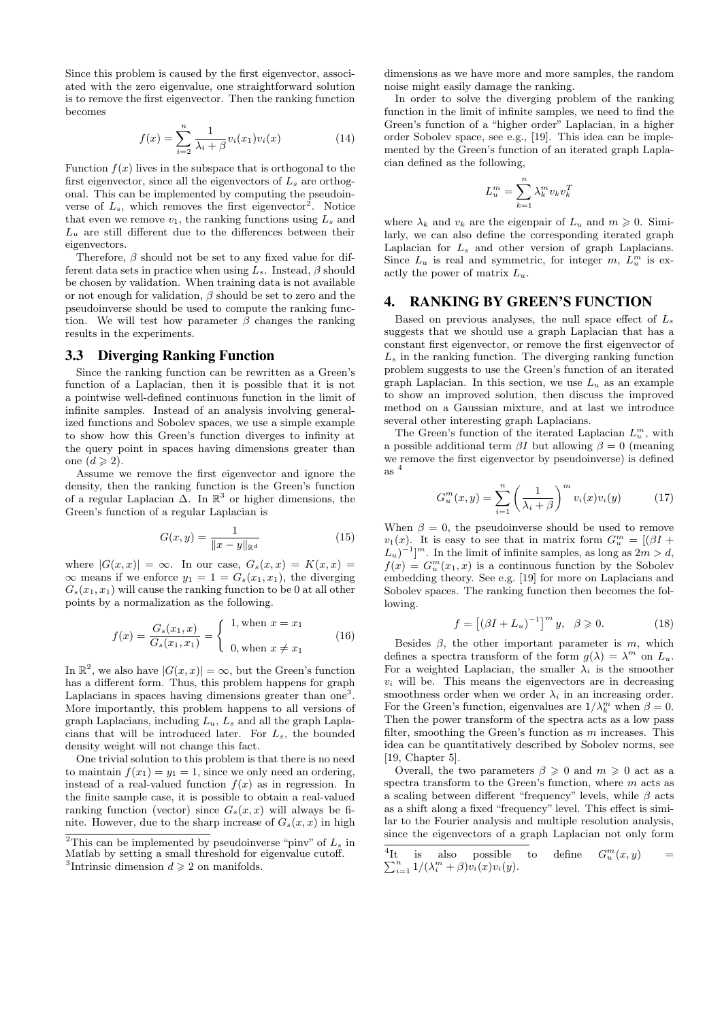Since this problem is caused by the first eigenvector, associated with the zero eigenvalue, one straightforward solution is to remove the first eigenvector. Then the ranking function becomes

$$
f(x) = \sum_{i=2}^{n} \frac{1}{\lambda_i + \beta} v_i(x_1) v_i(x)
$$
 (14)

Function  $f(x)$  lives in the subspace that is orthogonal to the first eigenvector, since all the eigenvectors of  $L<sub>s</sub>$  are orthogonal. This can be implemented by computing the pseudoinverse of  $L_s$ , which removes the first eigenvector<sup>2</sup>. Notice that even we remove  $v_1$ , the ranking functions using  $L_s$  and  $L_u$  are still different due to the differences between their eigenvectors.

Therefore,  $\beta$  should not be set to any fixed value for different data sets in practice when using  $L_s$ . Instead,  $\beta$  should be chosen by validation. When training data is not available or not enough for validation,  $\beta$  should be set to zero and the pseudoinverse should be used to compute the ranking function. We will test how parameter  $\beta$  changes the ranking results in the experiments.

# 3.3 Diverging Ranking Function

Since the ranking function can be rewritten as a Green's function of a Laplacian, then it is possible that it is not a pointwise well-defined continuous function in the limit of infinite samples. Instead of an analysis involving generalized functions and Sobolev spaces, we use a simple example to show how this Green's function diverges to infinity at the query point in spaces having dimensions greater than one  $(d \geq 2)$ .

Assume we remove the first eigenvector and ignore the density, then the ranking function is the Green's function of a regular Laplacian  $\Delta$ . In  $\mathbb{R}^3$  or higher dimensions, the Green's function of a regular Laplacian is

$$
G(x,y) = \frac{1}{\|x-y\|_{\mathbb{R}^d}}\tag{15}
$$

where  $|G(x, x)| = \infty$ . In our case,  $G_s(x, x) = K(x, x) =$  $\infty$  means if we enforce  $y_1 = 1 = G_s(x_1, x_1)$ , the diverging  $G_s(x_1, x_1)$  will cause the ranking function to be 0 at all other points by a normalization as the following.

$$
f(x) = \frac{G_s(x_1, x)}{G_s(x_1, x_1)} = \begin{cases} 1, \text{when } x = x_1 \\ 0, \text{when } x \neq x_1 \end{cases}
$$
 (16)

In  $\mathbb{R}^2$ , we also have  $|G(x, x)| = \infty$ , but the Green's function has a different form. Thus, this problem happens for graph Laplacians in spaces having dimensions greater than one<sup>3</sup>. More importantly, this problem happens to all versions of graph Laplacians, including  $L_u$ ,  $L_s$  and all the graph Laplacians that will be introduced later. For  $L_s$ , the bounded density weight will not change this fact.

One trivial solution to this problem is that there is no need to maintain  $f(x_1) = y_1 = 1$ , since we only need an ordering, instead of a real-valued function  $f(x)$  as in regression. In the finite sample case, it is possible to obtain a real-valued ranking function (vector) since  $G_s(x, x)$  will always be finite. However, due to the sharp increase of  $G_s(x, x)$  in high

```
<sup>3</sup>Intrinsic dimension d \geqslant 2 on manifolds.
```
dimensions as we have more and more samples, the random noise might easily damage the ranking.

In order to solve the diverging problem of the ranking function in the limit of infinite samples, we need to find the Green's function of a "higher order" Laplacian, in a higher order Sobolev space, see e.g., [19]. This idea can be implemented by the Green's function of an iterated graph Laplacian defined as the following,

$$
L_u^m = \sum_{k=1}^n \lambda_k^m v_k v_k^T
$$

where  $\lambda_k$  and  $v_k$  are the eigenpair of  $L_u$  and  $m \geq 0$ . Similarly, we can also define the corresponding iterated graph Laplacian for  $L_s$  and other version of graph Laplacians. Since  $L_u$  is real and symmetric, for integer  $m, L_u^m$  is exactly the power of matrix  $L_u$ .

#### 4. RANKING BY GREEN'S FUNCTION

Based on previous analyses, the null space effect of  $L_s$ suggests that we should use a graph Laplacian that has a constant first eigenvector, or remove the first eigenvector of  $L<sub>s</sub>$  in the ranking function. The diverging ranking function problem suggests to use the Green's function of an iterated graph Laplacian. In this section, we use  $L_u$  as an example to show an improved solution, then discuss the improved method on a Gaussian mixture, and at last we introduce several other interesting graph Laplacians.

The Green's function of the iterated Laplacian  $L_u^m$ , with a possible additional term  $\beta I$  but allowing  $\beta = 0$  (meaning we remove the first eigenvector by pseudoinverse) is defined as <sup>4</sup>

$$
G_u^m(x,y) = \sum_{i=1}^n \left(\frac{1}{\lambda_i + \beta}\right)^m v_i(x)v_i(y) \tag{17}
$$

When  $\beta = 0$ , the pseudoinverse should be used to remove  $v_1(x)$ . It is easy to see that in matrix form  $G_u^m = [(\beta I +$  $\lfloor L_u \rfloor^{-1}$ <sup>m</sup>. In the limit of infinite samples, as long as  $2m > d$ ,  $f(x) = G_u^m(x_1, x)$  is a continuous function by the Sobolev embedding theory. See e.g. [19] for more on Laplacians and Sobolev spaces. The ranking function then becomes the following.

$$
f = [(\beta I + L_u)^{-1}]^m y, \ \beta \ge 0.
$$
 (18)

Besides  $\beta$ , the other important parameter is m, which defines a spectra transform of the form  $g(\lambda) = \lambda^m$  on  $L_u$ . For a weighted Laplacian, the smaller  $\lambda_i$  is the smoother  $v_i$  will be. This means the eigenvectors are in decreasing smoothness order when we order  $\lambda_i$  in an increasing order. For the Green's function, eigenvalues are  $1/\lambda_k^m$  when  $\beta = 0$ . Then the power transform of the spectra acts as a low pass filter, smoothing the Green's function as  $m$  increases. This idea can be quantitatively described by Sobolev norms, see [19, Chapter 5].

Overall, the two parameters  $\beta \geq 0$  and  $m \geq 0$  act as a spectra transform to the Green's function, where m acts as a scaling between different "frequency" levels, while  $\beta$  acts as a shift along a fixed "frequency" level. This effect is similar to the Fourier analysis and multiple resolution analysis, since the eigenvectors of a graph Laplacian not only form

<sup>&</sup>lt;sup>2</sup>This can be implemented by pseudoinverse "pinv" of  $L_s$  in Matlab by setting a small threshold for eigenvalue cutoff.

 $4$ It <sup>4</sup>It is also possible to define  $G_u^m(x, y) = \sum_{i=1}^n 1/(\lambda_i^m + \beta)v_i(x)v_i(y)$ .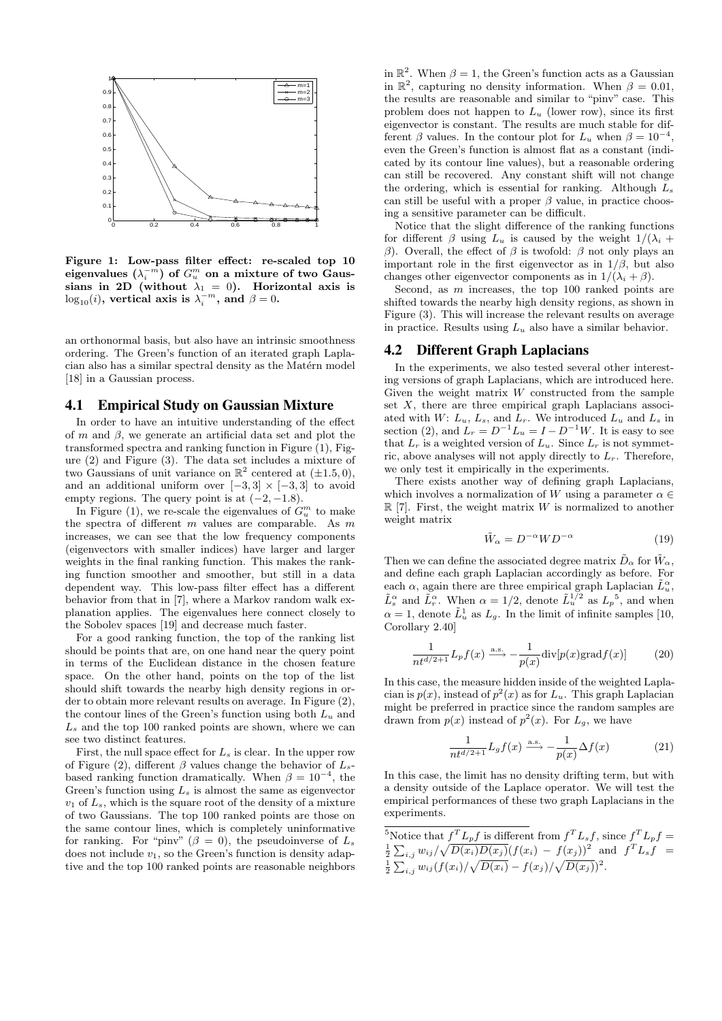

Figure 1: Low-pass filter effect: re-scaled top 10 eigenvalues  $(\lambda_i^{-m})$  of  $G_u^m$  on a mixture of two Gaussians in 2D (without  $\lambda_1 = 0$ ). Horizontal axis is  $log_{10}(i)$ , vertical axis is  $\lambda_i^{-m}$ , and  $\beta = 0$ .

an orthonormal basis, but also have an intrinsic smoothness ordering. The Green's function of an iterated graph Laplacian also has a similar spectral density as the Matérn model [18] in a Gaussian process.

# 4.1 Empirical Study on Gaussian Mixture

In order to have an intuitive understanding of the effect of m and  $\beta$ , we generate an artificial data set and plot the transformed spectra and ranking function in Figure (1), Figure (2) and Figure (3). The data set includes a mixture of two Gaussians of unit variance on  $\mathbb{R}^2$  centered at  $(\pm 1.5, 0)$ , and an additional uniform over  $[-3, 3] \times [-3, 3]$  to avoid empty regions. The query point is at  $(-2, -1.8)$ .

In Figure (1), we re-scale the eigenvalues of  $G_u^m$  to make the spectra of different  $m$  values are comparable. As  $m$ increases, we can see that the low frequency components (eigenvectors with smaller indices) have larger and larger weights in the final ranking function. This makes the ranking function smoother and smoother, but still in a data dependent way. This low-pass filter effect has a different behavior from that in [7], where a Markov random walk explanation applies. The eigenvalues here connect closely to the Sobolev spaces [19] and decrease much faster.

For a good ranking function, the top of the ranking list should be points that are, on one hand near the query point in terms of the Euclidean distance in the chosen feature space. On the other hand, points on the top of the list should shift towards the nearby high density regions in order to obtain more relevant results on average. In Figure (2), the contour lines of the Green's function using both  $L_u$  and  $L<sub>s</sub>$  and the top 100 ranked points are shown, where we can see two distinct features.

First, the null space effect for  $L_s$  is clear. In the upper row of Figure (2), different  $\beta$  values change the behavior of  $L_s$ based ranking function dramatically. When  $\beta = 10^{-4}$ , the Green's function using  $L_s$  is almost the same as eigenvector  $v_1$  of  $L_s$ , which is the square root of the density of a mixture of two Gaussians. The top 100 ranked points are those on the same contour lines, which is completely uninformative for ranking. For "pinv" ( $\beta = 0$ ), the pseudoinverse of  $L_s$ does not include  $v_1$ , so the Green's function is density adaptive and the top 100 ranked points are reasonable neighbors

in  $\mathbb{R}^2$ . When  $\beta = 1$ , the Green's function acts as a Gaussian in  $\mathbb{R}^2$ , capturing no density information. When  $\beta = 0.01$ , the results are reasonable and similar to "pinv" case. This problem does not happen to  $L<sub>u</sub>$  (lower row), since its first eigenvector is constant. The results are much stable for different  $\beta$  values. In the contour plot for  $L_u$  when  $\beta = 10^{-4}$ , even the Green's function is almost flat as a constant (indicated by its contour line values), but a reasonable ordering can still be recovered. Any constant shift will not change the ordering, which is essential for ranking. Although  $L_s$ can still be useful with a proper  $\beta$  value, in practice choosing a sensitive parameter can be difficult.

Notice that the slight difference of the ranking functions for different  $\beta$  using  $L_u$  is caused by the weight  $1/(\lambda_i +$ β). Overall, the effect of β is twofold: β not only plays an important role in the first eigenvector as in  $1/\beta$ , but also changes other eigenvector components as in  $1/(\lambda_i + \beta)$ .

Second, as  $m$  increases, the top 100 ranked points are shifted towards the nearby high density regions, as shown in Figure (3). This will increase the relevant results on average in practice. Results using  $L_u$  also have a similar behavior.

#### 4.2 Different Graph Laplacians

In the experiments, we also tested several other interesting versions of graph Laplacians, which are introduced here. Given the weight matrix  $W$  constructed from the sample set  $X$ , there are three empirical graph Laplacians associated with  $W: L_u, L_s$ , and  $L_r$ . We introduced  $L_u$  and  $L_s$  in section (2), and  $L_r = D^{-1}L_u = I - D^{-1}W$ . It is easy to see that  $L_r$  is a weighted version of  $L_u$ . Since  $L_r$  is not symmetric, above analyses will not apply directly to  $L_r$ . Therefore, we only test it empirically in the experiments.

There exists another way of defining graph Laplacians, which involves a normalization of W using a parameter  $\alpha \in$  $\mathbb{R}$  [7]. First, the weight matrix W is normalized to another weight matrix

$$
\tilde{W}_{\alpha} = D^{-\alpha} W D^{-\alpha} \tag{19}
$$

Then we can define the associated degree matrix  $D_{\alpha}$  for  $W_{\alpha}$ , and define each graph Laplacian accordingly as before. For each  $\alpha$ , again there are three empirical graph Laplacian  $\tilde{L}_u^{\alpha}$ ,  $\tilde{L}_s^{\alpha}$  and  $\tilde{L}_r^{\alpha}$ . When  $\alpha = 1/2$ , denote  $\tilde{L}_u^{1/2}$  as  $L_p^{5}$ , and when  $\alpha = 1$ , denote  $\tilde{L}_u^1$  as  $L_g$ . In the limit of infinite samples [10, Corollary 2.40]

$$
\frac{1}{nt^{d/2+1}}L_p f(x) \xrightarrow{\text{a.s.}} -\frac{1}{p(x)} \text{div}[p(x)\text{grad} f(x)] \tag{20}
$$

In this case, the measure hidden inside of the weighted Laplacian is  $p(x)$ , instead of  $p^2(x)$  as for  $L_u$ . This graph Laplacian might be preferred in practice since the random samples are drawn from  $p(x)$  instead of  $p^2(x)$ . For  $L_g$ , we have

$$
\frac{1}{nt^{d/2+1}} L_g f(x) \xrightarrow{\text{a.s.}} -\frac{1}{p(x)} \Delta f(x) \tag{21}
$$

In this case, the limit has no density drifting term, but with a density outside of the Laplace operator. We will test the empirical performances of these two graph Laplacians in the experiments.

<sup>5</sup>Notice that  $f^T L_p f$  is different from  $f^T L_s f$ , since  $f^T L_p f = \frac{1}{2} \sum_{i,j} w_{ij} / \sqrt{D(x_i)D(x_j)} (f(x_i) - f(x_j))^2$  and  $f^T L_s f =$ votice that  $\int L_p f$  is different from  $\int L_s f$ , since  $\int L_p f =$ <br> $\sum_{i,j} w_{ij} / \sqrt{D(x_i)D(x_j)} (f(x_i) - f(x_j))^2$  and  $f^T L_s f =$  $\frac{1}{2}$  $\sum_{i,j} w_{ij} \sqrt{D(x_i) D(x_j)} (x_i) \sqrt{D(x_j)}$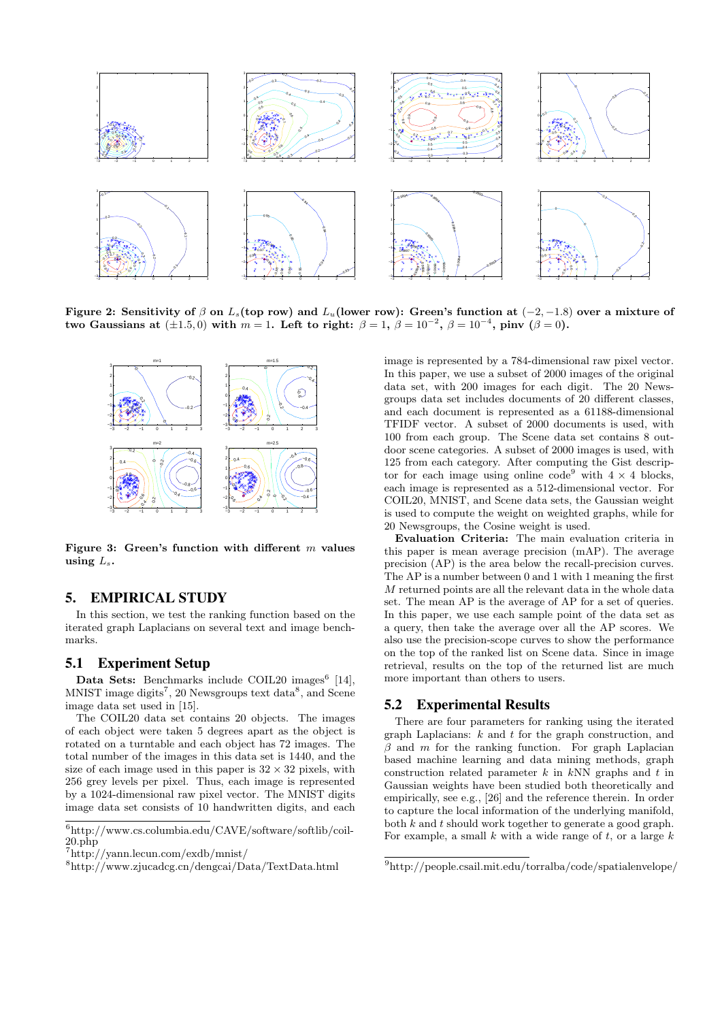

Figure 2: Sensitivity of  $\beta$  on  $L_s$  (top row) and  $L_u$  (lower row): Green's function at  $(-2, -1.8)$  over a mixture of two Gaussians at  $(\pm 1.5, 0)$  with  $m = 1$ . Left to right:  $\beta = 1$ ,  $\beta = 10^{-2}$ ,  $\beta = 10^{-4}$ , pinv  $(\beta = 0)$ .



Figure 3: Green's function with different  $m$  values using  $L_s$ .

## 5. EMPIRICAL STUDY

In this section, we test the ranking function based on the iterated graph Laplacians on several text and image benchmarks.

# 5.1 Experiment Setup

Data Sets: Benchmarks include COIL20 images  $[14]$ , MNIST image digits<sup>7</sup>, 20 Newsgroups text data<sup>8</sup>, and Scene image data set used in [15].

The COIL20 data set contains 20 objects. The images of each object were taken 5 degrees apart as the object is rotated on a turntable and each object has 72 images. The total number of the images in this data set is 1440, and the size of each image used in this paper is  $32 \times 32$  pixels, with 256 grey levels per pixel. Thus, each image is represented by a 1024-dimensional raw pixel vector. The MNIST digits image data set consists of 10 handwritten digits, and each

image is represented by a 784-dimensional raw pixel vector. In this paper, we use a subset of 2000 images of the original data set, with 200 images for each digit. The 20 Newsgroups data set includes documents of 20 different classes, and each document is represented as a 61188-dimensional TFIDF vector. A subset of 2000 documents is used, with 100 from each group. The Scene data set contains 8 outdoor scene categories. A subset of 2000 images is used, with 125 from each category. After computing the Gist descriptor for each image using online code<sup>9</sup> with  $4 \times 4$  blocks, each image is represented as a 512-dimensional vector. For COIL20, MNIST, and Scene data sets, the Gaussian weight is used to compute the weight on weighted graphs, while for 20 Newsgroups, the Cosine weight is used.

Evaluation Criteria: The main evaluation criteria in this paper is mean average precision (mAP). The average precision (AP) is the area below the recall-precision curves. The AP is a number between 0 and 1 with 1 meaning the first  $M$  returned points are all the relevant data in the whole data set. The mean AP is the average of AP for a set of queries. In this paper, we use each sample point of the data set as a query, then take the average over all the AP scores. We also use the precision-scope curves to show the performance on the top of the ranked list on Scene data. Since in image retrieval, results on the top of the returned list are much more important than others to users.

#### 5.2 Experimental Results

There are four parameters for ranking using the iterated graph Laplacians:  $k$  and  $t$  for the graph construction, and  $\beta$  and m for the ranking function. For graph Laplacian based machine learning and data mining methods, graph construction related parameter  $k$  in  $kNN$  graphs and  $t$  in Gaussian weights have been studied both theoretically and empirically, see e.g., [26] and the reference therein. In order to capture the local information of the underlying manifold, both  $k$  and  $t$  should work together to generate a good graph. For example, a small  $k$  with a wide range of  $t$ , or a large  $k$ 

 $^6$ http://www.cs.columbia.edu/CAVE/software/softlib/coil-20.php

<sup>7</sup>http://yann.lecun.com/exdb/mnist/

<sup>8</sup>http://www.zjucadcg.cn/dengcai/Data/TextData.html

 $^9{\rm http://people.csail.mit.edu/torralba/code/spatialenvelope/}$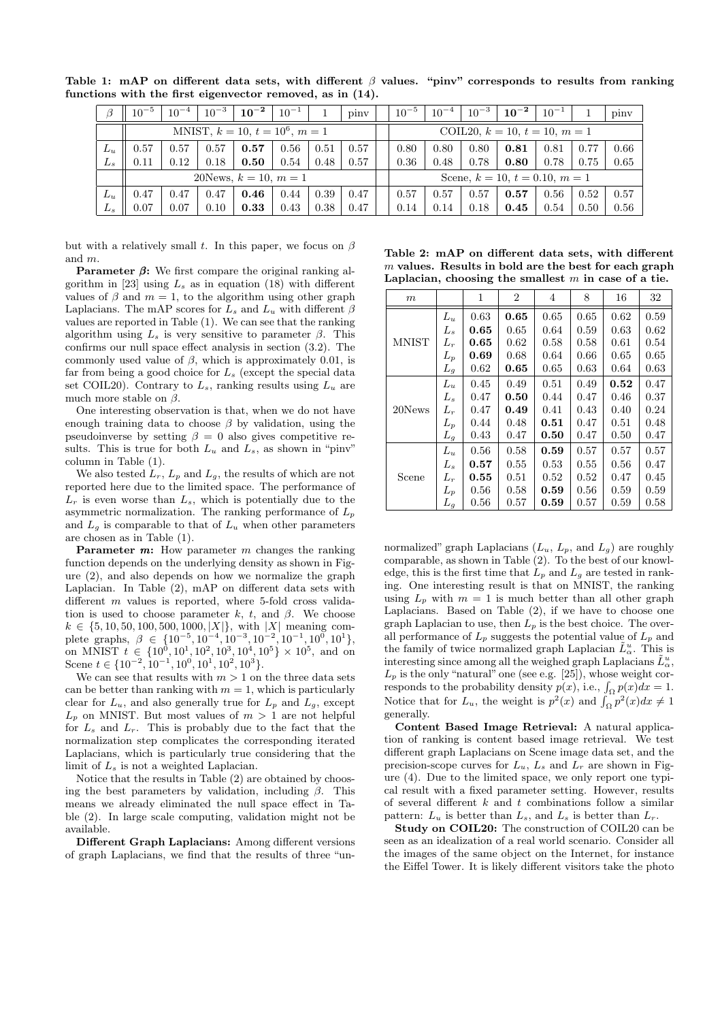|       | $10^{-5}$                              | $10^{-4}$ | $10^{-3}$ | $10^{-2}$ | $10^{-1}$ |      | piny                                   | $10^{-5}$ | $10^{-4}$ | $10^{-3}$ | $10^{-2}$ | $10^{-1}$ |      | piny |
|-------|----------------------------------------|-----------|-----------|-----------|-----------|------|----------------------------------------|-----------|-----------|-----------|-----------|-----------|------|------|
|       | MNIST, $k = 10$ , $t = 10^6$ , $m = 1$ |           |           |           |           |      | COIL20, $k = 10$ , $t = 10$ , $m = 1$  |           |           |           |           |           |      |      |
| $L_u$ | 0.57                                   | 0.57      | 0.57      | 0.57      | 0.56      | 0.51 | 0.57                                   | 0.80      | 0.80      | 0.80      | 0.81      | 0.81      | 0.77 | 0.66 |
| $L_s$ | 0.11                                   | 0.12      | 0.18      | 0.50      | 0.54      | 0.48 | 0.57                                   | 0.36      | 0.48      | 0.78      | 0.80      | 0.78      | 0.75 | 0.65 |
|       | 20News, $k = 10$ , $m = 1$             |           |           |           |           |      | Scene, $k = 10$ , $t = 0.10$ , $m = 1$ |           |           |           |           |           |      |      |
| $L_u$ | 0.47                                   | 0.47      | 0.47      | 0.46      | 0.44      | 0.39 | 0.47                                   | 0.57      | 0.57      | 0.57      | 0.57      | 0.56      | 0.52 | 0.57 |
| $L_s$ | 0.07                                   | 0.07      | 0.10      | 0.33      | 0.43      | 0.38 | 0.47                                   | 0.14      | 0.14      | 0.18      | 0.45      | 0.54      | 0.50 | 0.56 |

Table 1: mAP on different data sets, with different  $\beta$  values. "piny" corresponds to results from ranking functions with the first eigenvector removed, as in (14).

but with a relatively small t. In this paper, we focus on  $\beta$ and m.

**Parameter**  $\beta$ **:** We first compare the original ranking algorithm in [23] using  $L_s$  as in equation (18) with different values of  $\beta$  and  $m = 1$ , to the algorithm using other graph Laplacians. The mAP scores for  $L_s$  and  $L_u$  with different  $\beta$ values are reported in Table (1). We can see that the ranking algorithm using  $L_s$  is very sensitive to parameter  $\beta$ . This confirms our null space effect analysis in section (3.2). The commonly used value of  $\beta$ , which is approximately 0.01, is far from being a good choice for  $L<sub>s</sub>$  (except the special data set COIL20). Contrary to  $L_s$ , ranking results using  $L_u$  are much more stable on  $\beta$ .

One interesting observation is that, when we do not have enough training data to choose  $\beta$  by validation, using the pseudoinverse by setting  $\beta = 0$  also gives competitive results. This is true for both  $L_u$  and  $L_s$ , as shown in "pinv" column in Table (1).

We also tested  $L_r$ ,  $L_p$  and  $L_g$ , the results of which are not reported here due to the limited space. The performance of  $L_r$  is even worse than  $L_s$ , which is potentially due to the asymmetric normalization. The ranking performance of  $L_p$ and  $L_g$  is comparable to that of  $L_u$  when other parameters are chosen as in Table (1).

**Parameter**  $m$ **:** How parameter  $m$  changes the ranking function depends on the underlying density as shown in Figure (2), and also depends on how we normalize the graph Laplacian. In Table (2), mAP on different data sets with different m values is reported, where 5-fold cross validation is used to choose parameter k, t, and  $\beta$ . We choose  $k \in \{5, 10, 50, 100, 500, 1000, |X|\}$ , with |X| meaning complete graphs,  $\beta \in \{10^{-5}, 10^{-4}, 10^{-3}, 10^{-2}, 10^{-1}, 10^{0}, 10^{1}\},\$ on MNIST  $t \in \{10^0, 10^1, 10^2, 10^3, 10^4, 10^5\} \times 10^5$ , and on Scene  $t \in \{10^{-2}, 10^{-1}, 10^{0}, 10^{1}, 10^{2}, 10^{3}\}.$ 

We can see that results with  $m > 1$  on the three data sets can be better than ranking with  $m = 1$ , which is particularly clear for  $L_u$ , and also generally true for  $L_p$  and  $L_g$ , except  $L_p$  on MNIST. But most values of  $m > 1$  are not helpful for  $L_s$  and  $L_r$ . This is probably due to the fact that the normalization step complicates the corresponding iterated Laplacians, which is particularly true considering that the limit of  $L_s$  is not a weighted Laplacian.

Notice that the results in Table (2) are obtained by choosing the best parameters by validation, including  $\beta$ . This means we already eliminated the null space effect in Table (2). In large scale computing, validation might not be available.

Different Graph Laplacians: Among different versions of graph Laplacians, we find that the results of three "un-

Table 2: mAP on different data sets, with different m values. Results in bold are the best for each graph Laplacian, choosing the smallest  $m$  in case of a tie.

| $\boldsymbol{m}$ |       | 1    | $\overline{2}$ | $\overline{4}$ | 8    | 16   | 32   |
|------------------|-------|------|----------------|----------------|------|------|------|
|                  | $L_u$ | 0.63 | 0.65           | 0.65           | 0.65 | 0.62 | 0.59 |
|                  | $L_s$ | 0.65 | 0.65           | 0.64           | 0.59 | 0.63 | 0.62 |
| <b>MNIST</b>     | $L_r$ | 0.65 | 0.62           | 0.58           | 0.58 | 0.61 | 0.54 |
|                  | $L_p$ | 0.69 | 0.68           | 0.64           | 0.66 | 0.65 | 0.65 |
|                  | $L_g$ | 0.62 | 0.65           | 0.65           | 0.63 | 0.64 | 0.63 |
|                  | $L_u$ | 0.45 | 0.49           | 0.51           | 0.49 | 0.52 | 0.47 |
|                  | $L_s$ | 0.47 | 0.50           | 0.44           | 0.47 | 0.46 | 0.37 |
| 20News           | $L_r$ | 0.47 | 0.49           | 0.41           | 0.43 | 0.40 | 0.24 |
|                  | $L_p$ | 0.44 | 0.48           | 0.51           | 0.47 | 0.51 | 0.48 |
|                  | $L_g$ | 0.43 | 0.47           | 0.50           | 0.47 | 0.50 | 0.47 |
|                  | $L_u$ | 0.56 | 0.58           | 0.59           | 0.57 | 0.57 | 0.57 |
|                  | $L_s$ | 0.57 | 0.55           | 0.53           | 0.55 | 0.56 | 0.47 |
| Scene            | $L_r$ | 0.55 | 0.51           | 0.52           | 0.52 | 0.47 | 0.45 |
|                  | $L_p$ | 0.56 | 0.58           | 0.59           | 0.56 | 0.59 | 0.59 |
|                  | $L_g$ | 0.56 | 0.57           | 0.59           | 0.57 | 0.59 | 0.58 |

normalized" graph Laplacians  $(L_u, L_p, \text{ and } L_g)$  are roughly comparable, as shown in Table (2). To the best of our knowledge, this is the first time that  $L_p$  and  $L_g$  are tested in ranking. One interesting result is that on MNIST, the ranking using  $L_p$  with  $m = 1$  is much better than all other graph Laplacians. Based on Table (2), if we have to choose one graph Laplacian to use, then  $L_p$  is the best choice. The overall performance of  $L_p$  suggests the potential value of  $L_p$  and the family of twice normalized graph Laplacian  $\tilde{L}_{\alpha}^{u}$ . This is interesting since among all the weighed graph Laplacians  $\tilde{L}_{\alpha}^u$ ,  $L_p$  is the only "natural" one (see e.g. [25]), whose weight cor- $L_p$  is the only "natural" one (see e.g. [25]), whose weight corresponds to the probability density  $p(x)$ , i.e.,  $\int_{\Omega} p(x) dx = 1$ . responds to the probability density  $p(x)$ , i.e.,  $\int_{\Omega} p(x)dx = 1$ .<br>Notice that for  $L_u$ , the weight is  $p^2(x)$  and  $\int_{\Omega} p^2(x)dx \neq 1$ generally.

Content Based Image Retrieval: A natural application of ranking is content based image retrieval. We test different graph Laplacians on Scene image data set, and the precision-scope curves for  $L_u$ ,  $L_s$  and  $L_r$  are shown in Figure (4). Due to the limited space, we only report one typical result with a fixed parameter setting. However, results of several different  $k$  and  $t$  combinations follow a similar pattern:  $L_u$  is better than  $L_s$ , and  $L_s$  is better than  $L_r$ .

Study on COIL20: The construction of COIL20 can be seen as an idealization of a real world scenario. Consider all the images of the same object on the Internet, for instance the Eiffel Tower. It is likely different visitors take the photo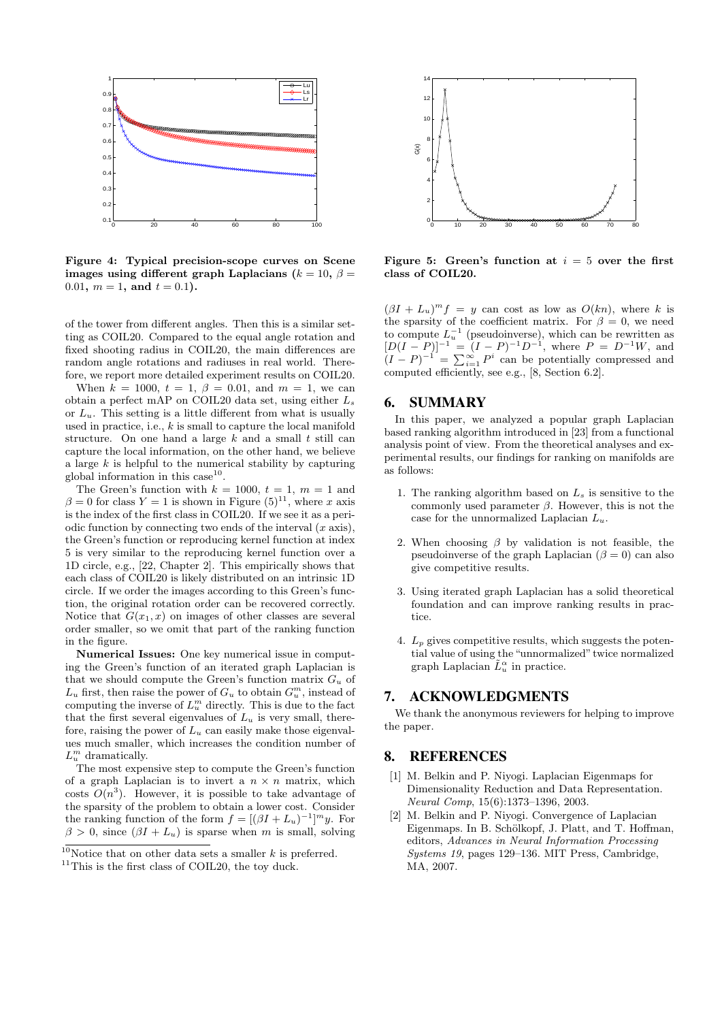

Figure 4: Typical precision-scope curves on Scene images using different graph Laplacians ( $k = 10, \beta =$ 0.01,  $m = 1$ , and  $t = 0.1$ ).

of the tower from different angles. Then this is a similar setting as COIL20. Compared to the equal angle rotation and fixed shooting radius in COIL20, the main differences are random angle rotations and radiuses in real world. Therefore, we report more detailed experiment results on COIL20.

When  $k = 1000$ ,  $t = 1$ ,  $\beta = 0.01$ , and  $m = 1$ , we can obtain a perfect mAP on COIL20 data set, using either L<sup>s</sup> or  $L_u$ . This setting is a little different from what is usually used in practice, i.e.,  $k$  is small to capture the local manifold structure. On one hand a large  $k$  and a small  $t$  still can capture the local information, on the other hand, we believe a large  $k$  is helpful to the numerical stability by capturing global information in this  $case<sup>10</sup>$ .

The Green's function with  $k = 1000$ ,  $t = 1$ ,  $m = 1$  and  $\beta = 0$  for class  $Y = 1$  is shown in Figure  $(5)^{11}$ , where x axis is the index of the first class in COIL20. If we see it as a periodic function by connecting two ends of the interval  $(x \text{ axis})$ , the Green's function or reproducing kernel function at index 5 is very similar to the reproducing kernel function over a 1D circle, e.g., [22, Chapter 2]. This empirically shows that each class of COIL20 is likely distributed on an intrinsic 1D circle. If we order the images according to this Green's function, the original rotation order can be recovered correctly. Notice that  $G(x_1, x)$  on images of other classes are several order smaller, so we omit that part of the ranking function in the figure.

Numerical Issues: One key numerical issue in computing the Green's function of an iterated graph Laplacian is that we should compute the Green's function matrix  $G_u$  of  $L_u$  first, then raise the power of  $G_u$  to obtain  $G_u^m$ , instead of computing the inverse of  $L_u^m$  directly. This is due to the fact that the first several eigenvalues of  $L<sub>u</sub>$  is very small, therefore, raising the power of  $L<sub>u</sub>$  can easily make those eigenvalues much smaller, which increases the condition number of  $L_u^m$  dramatically.

The most expensive step to compute the Green's function of a graph Laplacian is to invert a  $n \times n$  matrix, which costs  $O(n^3)$ . However, it is possible to take advantage of the sparsity of the problem to obtain a lower cost. Consider the ranking function of the form  $f = [(\beta I + L_u)^{-1}]^m y$ . For  $\beta > 0$ , since  $(\beta I + L_u)$  is sparse when m is small, solving



Figure 5: Green's function at  $i = 5$  over the first class of COIL20.

 $(\beta I + L_u)^m f = y$  can cost as low as  $O(kn)$ , where k is the sparsity of the coefficient matrix. For  $\beta = 0$ , we need to compute  $L_u^{-1}$  (pseudoinverse), which can be rewritten as  $[D(I - P)]^{-1} = (I - P)^{-1}D^{-1}$ , where  $P = D^{-1}W$ , and  $[D(I - P)] = (I - P) D$ , where  $P = D W$ , and<br>  $(I - P)^{-1} = \sum_{i=1}^{\infty} P^i$  can be potentially compressed and computed efficiently, see e.g., [8, Section 6.2].

# 6. SUMMARY

In this paper, we analyzed a popular graph Laplacian based ranking algorithm introduced in [23] from a functional analysis point of view. From the theoretical analyses and experimental results, our findings for ranking on manifolds are as follows:

- 1. The ranking algorithm based on  $L<sub>s</sub>$  is sensitive to the commonly used parameter  $\beta$ . However, this is not the case for the unnormalized Laplacian  $L_u$ .
- 2. When choosing  $\beta$  by validation is not feasible, the pseudoinverse of the graph Laplacian  $(\beta = 0)$  can also give competitive results.
- 3. Using iterated graph Laplacian has a solid theoretical foundation and can improve ranking results in practice.
- 4.  $L_p$  gives competitive results, which suggests the potential value of using the "unnormalized" twice normalized graph Laplacian  $\tilde{L}_u^{\alpha}$  in practice.

## 7. ACKNOWLEDGMENTS

We thank the anonymous reviewers for helping to improve the paper.

## 8. REFERENCES

- [1] M. Belkin and P. Niyogi. Laplacian Eigenmaps for Dimensionality Reduction and Data Representation. Neural Comp, 15(6):1373–1396, 2003.
- [2] M. Belkin and P. Niyogi. Convergence of Laplacian Eigenmaps. In B. Schölkopf, J. Platt, and T. Hoffman, editors, Advances in Neural Information Processing Systems 19, pages 129–136. MIT Press, Cambridge, MA, 2007.

<sup>&</sup>lt;sup>10</sup>Notice that on other data sets a smaller  $k$  is preferred.

 $11$ This is the first class of COIL20, the toy duck.